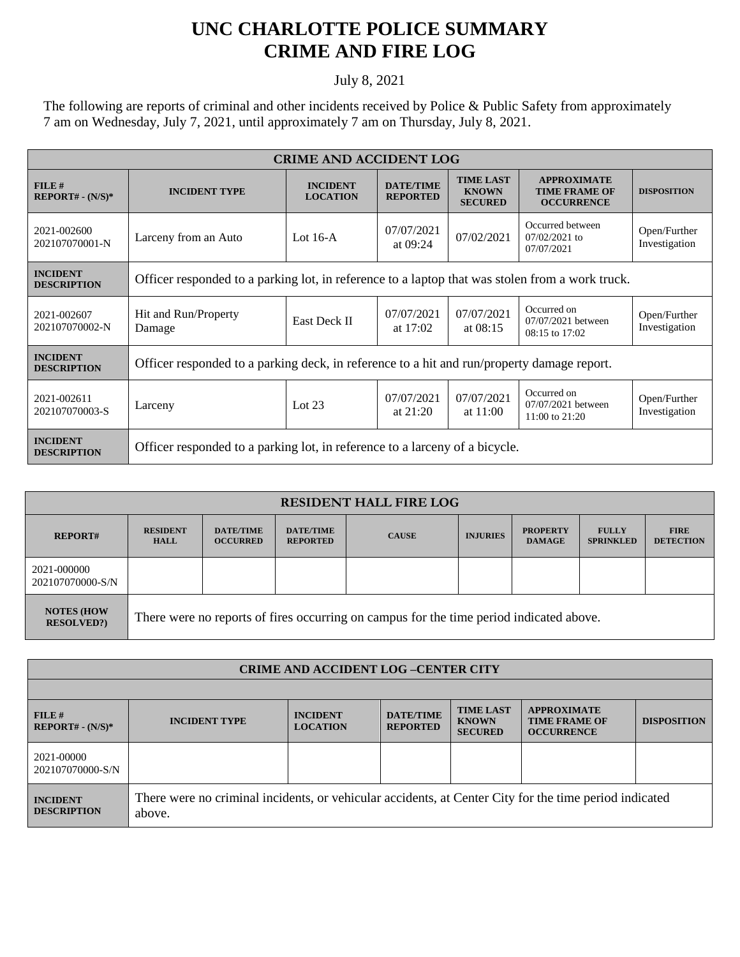## **UNC CHARLOTTE POLICE SUMMARY CRIME AND FIRE LOG**

## July 8, 2021

The following are reports of criminal and other incidents received by Police & Public Safety from approximately 7 am on Wednesday, July 7, 2021, until approximately 7 am on Thursday, July 8, 2021.

| <b>CRIME AND ACCIDENT LOG</b>         |                                                                                                 |                                    |                                     |                                                    |                                                                 |                               |  |  |
|---------------------------------------|-------------------------------------------------------------------------------------------------|------------------------------------|-------------------------------------|----------------------------------------------------|-----------------------------------------------------------------|-------------------------------|--|--|
| FILE#<br>$REPORT# - (N/S)*$           | <b>INCIDENT TYPE</b>                                                                            | <b>INCIDENT</b><br><b>LOCATION</b> | <b>DATE/TIME</b><br><b>REPORTED</b> | <b>TIME LAST</b><br><b>KNOWN</b><br><b>SECURED</b> | <b>APPROXIMATE</b><br><b>TIME FRAME OF</b><br><b>OCCURRENCE</b> | <b>DISPOSITION</b>            |  |  |
| 2021-002600<br>202107070001-N         | Larceny from an Auto                                                                            | Lot $16-A$                         | 07/07/2021<br>at $09:24$            | 07/02/2021                                         | Occurred between<br>$07/02/2021$ to<br>07/07/2021               | Open/Further<br>Investigation |  |  |
| <b>INCIDENT</b><br><b>DESCRIPTION</b> | Officer responded to a parking lot, in reference to a laptop that was stolen from a work truck. |                                    |                                     |                                                    |                                                                 |                               |  |  |
| 2021-002607<br>202107070002-N         | Hit and Run/Property<br>Damage                                                                  | <b>East Deck II</b>                | 07/07/2021<br>at $17:02$            | 07/07/2021<br>at $08:15$                           | Occurred on<br>07/07/2021 between<br>$08:15$ to $17:02$         | Open/Further<br>Investigation |  |  |
| <b>INCIDENT</b><br><b>DESCRIPTION</b> | Officer responded to a parking deck, in reference to a hit and run/property damage report.      |                                    |                                     |                                                    |                                                                 |                               |  |  |
| 2021-002611<br>202107070003-S         | Larceny                                                                                         | Lot $23$                           | 07/07/2021<br>at $21:20$            | 07/07/2021<br>at $11:00$                           | Occurred on<br>07/07/2021 between<br>$11:00$ to $21:20$         | Open/Further<br>Investigation |  |  |
| <b>INCIDENT</b><br><b>DESCRIPTION</b> | Officer responded to a parking lot, in reference to a larceny of a bicycle.                     |                                    |                                     |                                                    |                                                                 |                               |  |  |

| <b>RESIDENT HALL FIRE LOG</b>          |                                                                                         |                                     |                                     |              |                 |                                  |                                  |                                 |
|----------------------------------------|-----------------------------------------------------------------------------------------|-------------------------------------|-------------------------------------|--------------|-----------------|----------------------------------|----------------------------------|---------------------------------|
| <b>REPORT#</b>                         | <b>RESIDENT</b><br><b>HALL</b>                                                          | <b>DATE/TIME</b><br><b>OCCURRED</b> | <b>DATE/TIME</b><br><b>REPORTED</b> | <b>CAUSE</b> | <b>INJURIES</b> | <b>PROPERTY</b><br><b>DAMAGE</b> | <b>FULLY</b><br><b>SPRINKLED</b> | <b>FIRE</b><br><b>DETECTION</b> |
| 2021-000000<br>202107070000-S/N        |                                                                                         |                                     |                                     |              |                 |                                  |                                  |                                 |
| <b>NOTES (HOW</b><br><b>RESOLVED?)</b> | There were no reports of fires occurring on campus for the time period indicated above. |                                     |                                     |              |                 |                                  |                                  |                                 |

| <b>CRIME AND ACCIDENT LOG -CENTER CITY</b> |                                                                                                                  |                                    |                                     |                                                    |                                                                 |                    |  |
|--------------------------------------------|------------------------------------------------------------------------------------------------------------------|------------------------------------|-------------------------------------|----------------------------------------------------|-----------------------------------------------------------------|--------------------|--|
|                                            |                                                                                                                  |                                    |                                     |                                                    |                                                                 |                    |  |
| $FILE$ #<br>$REPORT# - (N/S)*$             | <b>INCIDENT TYPE</b>                                                                                             | <b>INCIDENT</b><br><b>LOCATION</b> | <b>DATE/TIME</b><br><b>REPORTED</b> | <b>TIME LAST</b><br><b>KNOWN</b><br><b>SECURED</b> | <b>APPROXIMATE</b><br><b>TIME FRAME OF</b><br><b>OCCURRENCE</b> | <b>DISPOSITION</b> |  |
| 2021-00000<br>202107070000-S/N             |                                                                                                                  |                                    |                                     |                                                    |                                                                 |                    |  |
| <b>INCIDENT</b><br><b>DESCRIPTION</b>      | There were no criminal incidents, or vehicular accidents, at Center City for the time period indicated<br>above. |                                    |                                     |                                                    |                                                                 |                    |  |